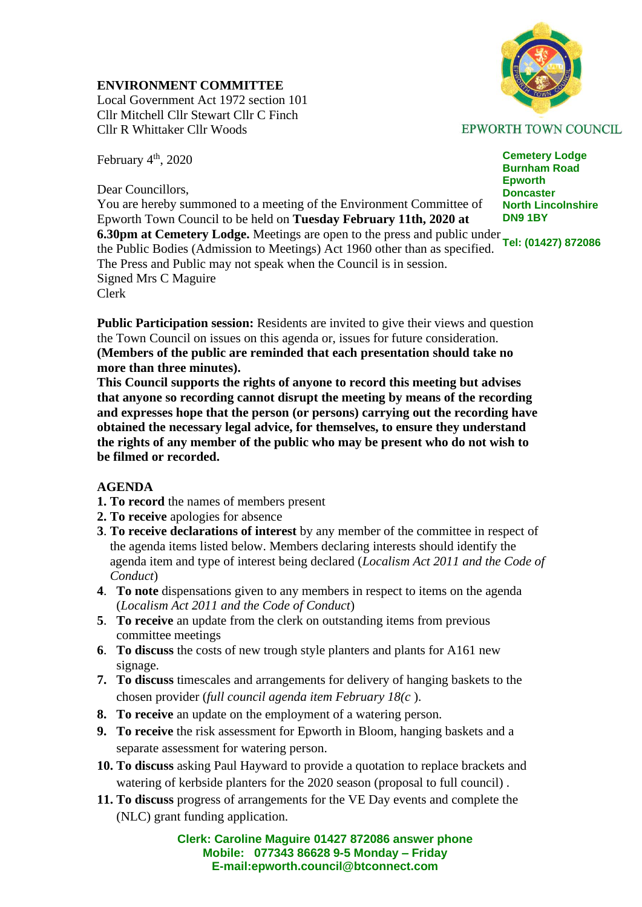## **ENVIRONMENT COMMITTEE**

Local Government Act 1972 section 101 Cllr Mitchell Cllr Stewart Cllr C Finch Cllr R Whittaker Cllr Woods

February 4<sup>th</sup>, 2020

Dear Councillors,

**DN9 1BY 6.30pm at Cemetery Lodge.** Meetings are open to the press and public under **Tel:** (01427) 872086 You are hereby summoned to a meeting of the Environment Committee of Epworth Town Council to be held on **Tuesday February 11th, 2020 at**  the Public Bodies (Admission to Meetings) Act 1960 other than as specified. The Press and Public may not speak when the Council is in session. Signed Mrs C Maguire Clerk

**Public Participation session:** Residents are invited to give their views and question the Town Council on issues on this agenda or, issues for future consideration. **(Members of the public are reminded that each presentation should take no more than three minutes).** 

**This Council supports the rights of anyone to record this meeting but advises that anyone so recording cannot disrupt the meeting by means of the recording and expresses hope that the person (or persons) carrying out the recording have obtained the necessary legal advice, for themselves, to ensure they understand the rights of any member of the public who may be present who do not wish to be filmed or recorded.**

## **AGENDA**

- **1. To record** the names of members present
- **2. To receive** apologies for absence
- **3**. **To receive declarations of interest** by any member of the committee in respect of the agenda items listed below. Members declaring interests should identify the agenda item and type of interest being declared (*Localism Act 2011 and the Code of Conduct*)
- **4**. **To note** dispensations given to any members in respect to items on the agenda (*Localism Act 2011 and the Code of Conduct*)
- **5**. **To receive** an update from the clerk on outstanding items from previous committee meetings
- **6**. **To discuss** the costs of new trough style planters and plants for A161 new signage.
- **7. To discuss** timescales and arrangements for delivery of hanging baskets to the chosen provider (*full council agenda item February 18(c* ).
- **8. To receive** an update on the employment of a watering person.
- **9. To receive** the risk assessment for Epworth in Bloom, hanging baskets and a separate assessment for watering person.
- **10. To discuss** asking Paul Hayward to provide a quotation to replace brackets and watering of kerbside planters for the 2020 season (proposal to full council) .
- **11. To discuss** progress of arrangements for the VE Day events and complete the (NLC) grant funding application.

**Clerk: Caroline Maguire 01427 872086 answer phone Mobile: 077343 86628 9-5 Monday – Friday E-mail:epworth.council@btconnect.com**



**EPWORTH TOWN COUNCIL** 

**Cemetery Lodge Burnham Road Epworth Doncaster North Lincolnshire**